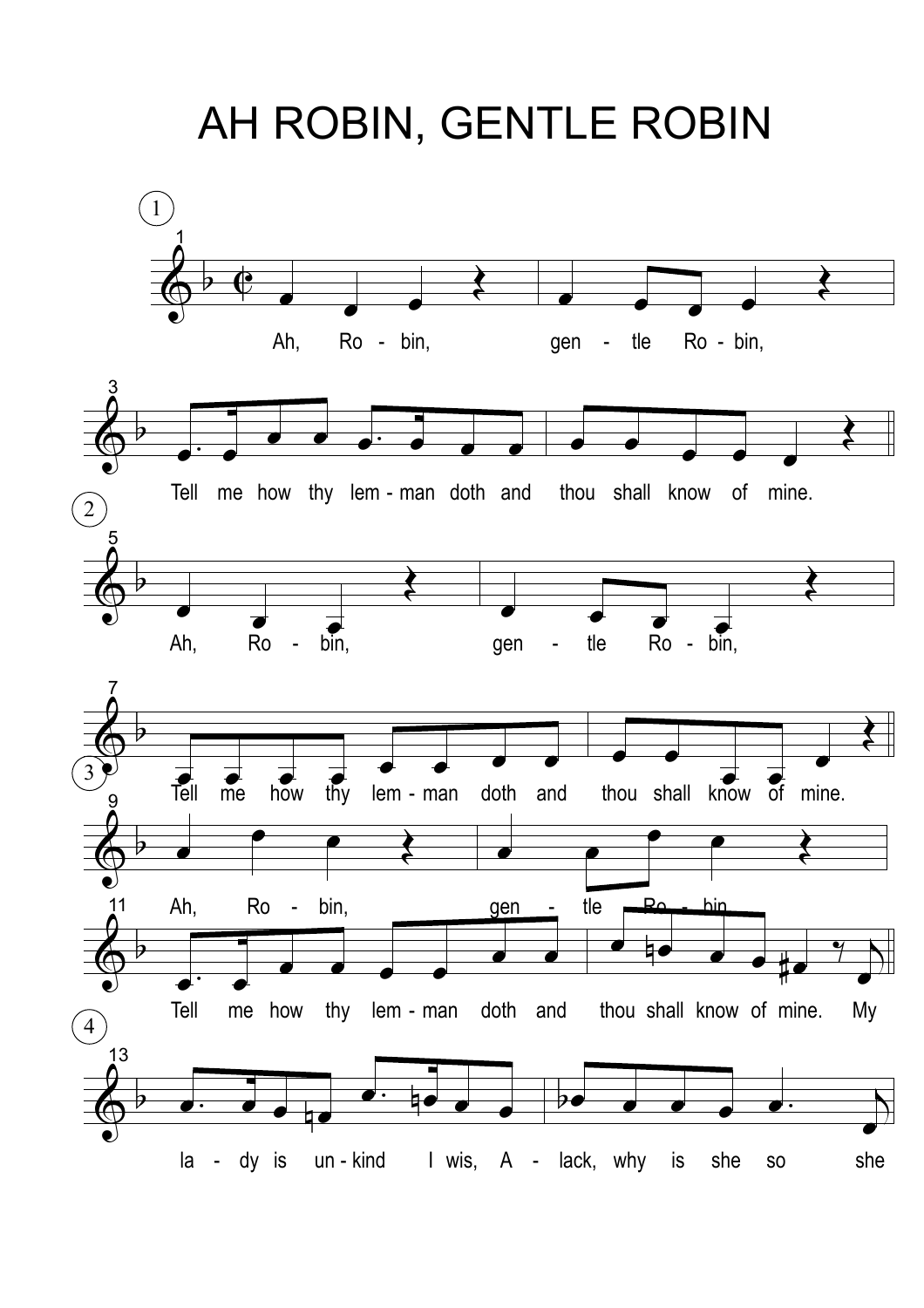AH ROBIN, GENTLE ROBIN